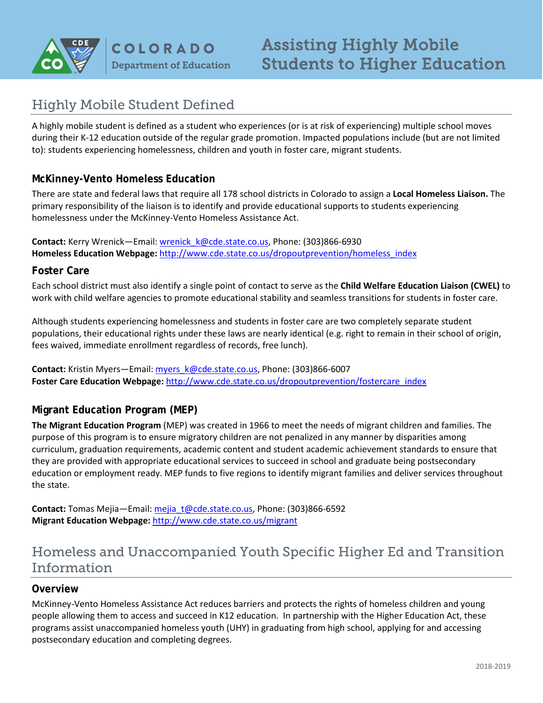

# Highly Mobile Student Defined

A highly mobile student is defined as a student who experiences (or is at risk of experiencing) multiple school moves during their K-12 education outside of the regular grade promotion. Impacted populations include (but are not limited to): students experiencing homelessness, children and youth in foster care, migrant students.

# **McKinney-Vento Homeless Education**

There are state and federal laws that require all 178 school districts in Colorado to assign a **Local Homeless Liaison.** The primary responsibility of the liaison is to identify and provide educational supports to students experiencing homelessness under the McKinney-Vento Homeless Assistance Act.

**Contact:** Kerry Wrenick—Email: [wrenick\\_k@cde.state.co.us,](mailto:wrenick_k@cde.state.co.us) Phone: (303)866-6930 **Homeless Education Webpage:** [http://www.cde.state.co.us/dropoutprevention/homeless\\_index](http://www.cde.state.co.us/dropoutprevention/homeless_index)

### **Foster Care**

Each school district must also identify a single point of contact to serve as the **Child Welfare Education Liaison (CWEL)** to work with child welfare agencies to promote educational stability and seamless transitions for students in foster care.

Although students experiencing homelessness and students in foster care are two completely separate student populations, their educational rights under these laws are nearly identical (e.g. right to remain in their school of origin, fees waived, immediate enrollment regardless of records, free lunch).

**Contact:** Kristin Myers—Email[: myers\\_k@cde.state.co.us,](mailto:myers_k@cde.state.co.us) Phone: (303)866-6007 **Foster Care Education Webpage:** [http://www.cde.state.co.us/dropoutprevention/fostercare\\_index](http://www.cde.state.co.us/dropoutprevention/fostercare_index)

# **Migrant Education Program (MEP)**

**The Migrant Education Program** (MEP) was created in 1966 to meet the needs of migrant children and families. The purpose of this program is to ensure migratory children are not penalized in any manner by disparities among curriculum, graduation requirements, academic content and student academic achievement standards to ensure that they are provided with appropriate educational services to succeed in school and graduate being postsecondary education or employment ready. MEP funds to five regions to identify migrant families and deliver services throughout the state.

Contact: Tomas Mejia—Email: [mejia\\_t@cde.state.co.us,](mailto:mejia_t@cde.state.co.us) Phone: (303)866-6592 **Migrant Education Webpage:** <http://www.cde.state.co.us/migrant>

# Homeless and Unaccompanied Youth Specific Higher Ed and Transition Information

# **Overview**

McKinney-Vento Homeless Assistance Act reduces barriers and protects the rights of homeless children and young people allowing them to access and succeed in K12 education. In partnership with the Higher Education Act, these programs assist unaccompanied homeless youth (UHY) in graduating from high school, applying for and accessing postsecondary education and completing degrees.